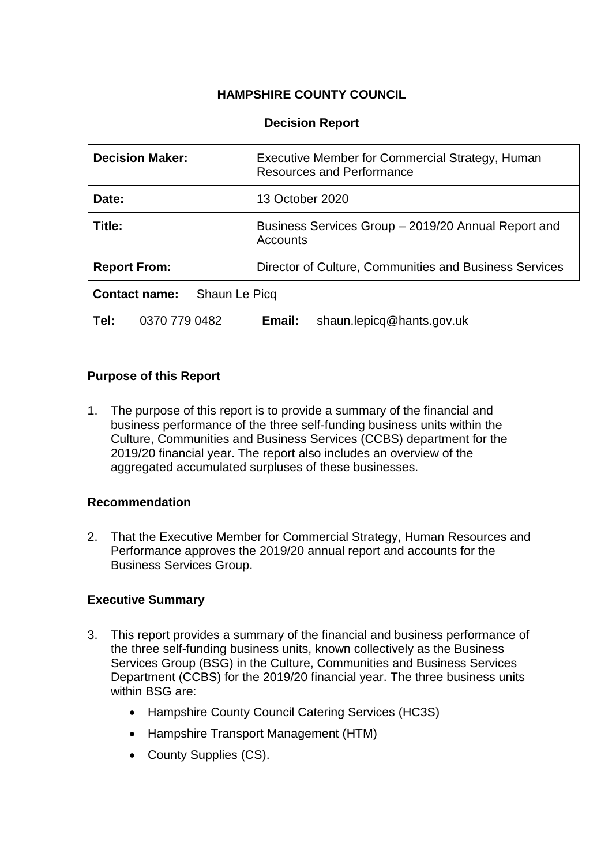# **HAMPSHIRE COUNTY COUNCIL**

## **Decision Report**

| <b>Decision Maker:</b>                | Executive Member for Commercial Strategy, Human<br><b>Resources and Performance</b> |
|---------------------------------------|-------------------------------------------------------------------------------------|
| Date:                                 | 13 October 2020                                                                     |
| Title:                                | Business Services Group - 2019/20 Annual Report and<br>Accounts                     |
| <b>Report From:</b>                   | Director of Culture, Communities and Business Services                              |
| <b>Contact name:</b><br>Shaun Le Picq |                                                                                     |

**Tel:** 0370 779 0482 **Email:** shaun.lepicq@hants.gov.uk

### **Purpose of this Report**

1. The purpose of this report is to provide a summary of the financial and business performance of the three self-funding business units within the Culture, Communities and Business Services (CCBS) department for the 2019/20 financial year. The report also includes an overview of the agaregated accumulated surpluses of these businesses.

### **Recommendation**

2. That the Executive Member for Commercial Strategy, Human Resources and Performance approves the 2019/20 annual report and accounts for the Business Services Group.

### **Executive Summary**

- 3. This report provides a summary of the financial and business performance of the three self-funding business units, known collectively as the Business Services Group (BSG) in the Culture, Communities and Business Services Department (CCBS) for the 2019/20 financial year. The three business units within BSG are:
	- Hampshire County Council Catering Services (HC3S)
	- Hampshire Transport Management (HTM)
	- County Supplies (CS).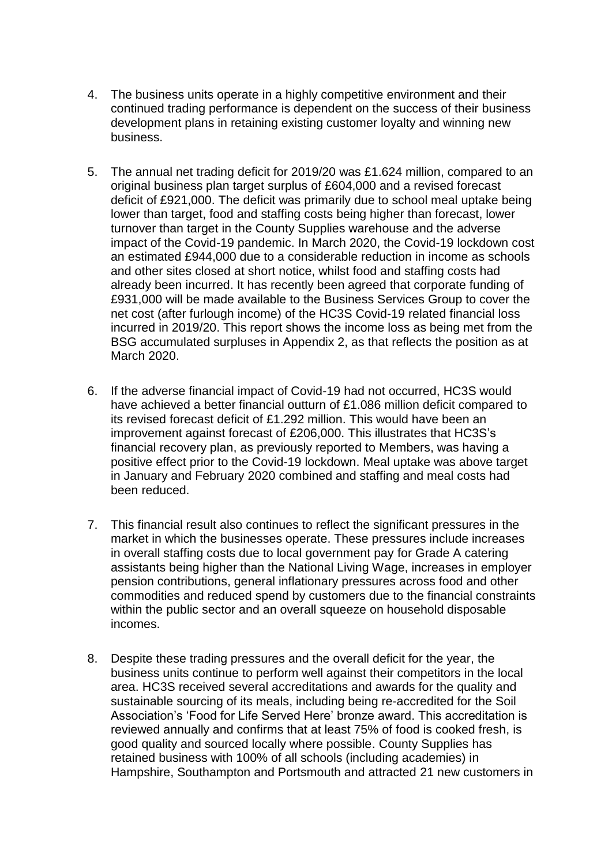- 4. The business units operate in a highly competitive environment and their continued trading performance is dependent on the success of their business development plans in retaining existing customer loyalty and winning new business.
- 5. The annual net trading deficit for 2019/20 was £1.624 million, compared to an original business plan target surplus of £604,000 and a revised forecast deficit of £921,000. The deficit was primarily due to school meal uptake being lower than target, food and staffing costs being higher than forecast, lower turnover than target in the County Supplies warehouse and the adverse impact of the Covid-19 pandemic. In March 2020, the Covid-19 lockdown cost an estimated £944,000 due to a considerable reduction in income as schools and other sites closed at short notice, whilst food and staffing costs had already been incurred. It has recently been agreed that corporate funding of £931,000 will be made available to the Business Services Group to cover the net cost (after furlough income) of the HC3S Covid-19 related financial loss incurred in 2019/20. This report shows the income loss as being met from the BSG accumulated surpluses in Appendix 2, as that reflects the position as at March 2020.
- 6. If the adverse financial impact of Covid-19 had not occurred, HC3S would have achieved a better financial outturn of £1.086 million deficit compared to its revised forecast deficit of £1.292 million. This would have been an improvement against forecast of £206,000. This illustrates that HC3S's financial recovery plan, as previously reported to Members, was having a positive effect prior to the Covid-19 lockdown. Meal uptake was above target in January and February 2020 combined and staffing and meal costs had been reduced.
- 7. This financial result also continues to reflect the significant pressures in the market in which the businesses operate. These pressures include increases in overall staffing costs due to local government pay for Grade A catering assistants being higher than the National Living Wage, increases in employer pension contributions, general inflationary pressures across food and other commodities and reduced spend by customers due to the financial constraints within the public sector and an overall squeeze on household disposable incomes.
- 8. Despite these trading pressures and the overall deficit for the year, the business units continue to perform well against their competitors in the local area. HC3S received several accreditations and awards for the quality and sustainable sourcing of its meals, including being re-accredited for the Soil Association's 'Food for Life Served Here' bronze award. This accreditation is reviewed annually and confirms that at least 75% of food is cooked fresh, is good quality and sourced locally where possible. County Supplies has retained business with 100% of all schools (including academies) in Hampshire, Southampton and Portsmouth and attracted 21 new customers in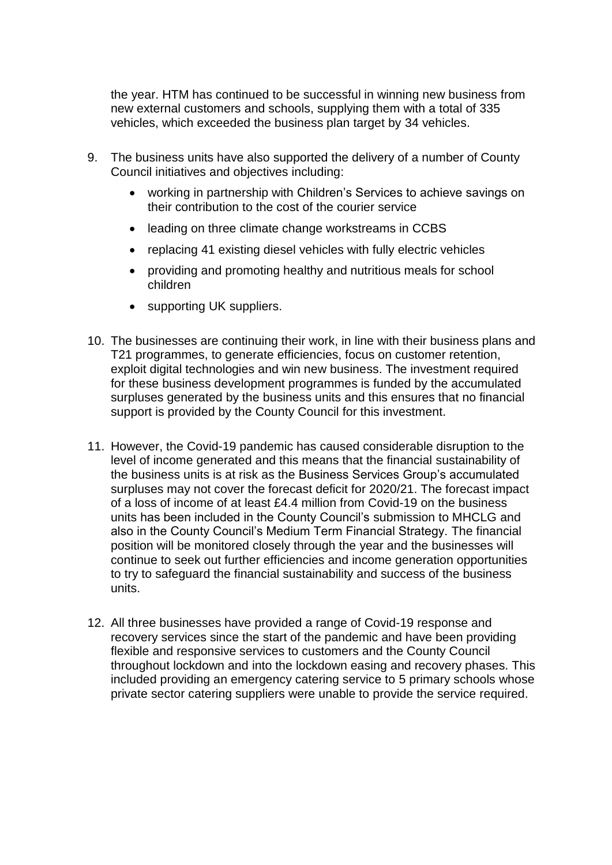the year. HTM has continued to be successful in winning new business from new external customers and schools, supplying them with a total of 335 vehicles, which exceeded the business plan target by 34 vehicles.

- 9. The business units have also supported the delivery of a number of County Council initiatives and objectives including:
	- working in partnership with Children's Services to achieve savings on their contribution to the cost of the courier service
	- leading on three climate change workstreams in CCBS
	- replacing 41 existing diesel vehicles with fully electric vehicles
	- providing and promoting healthy and nutritious meals for school children
	- supporting UK suppliers.
- 10. The businesses are continuing their work, in line with their business plans and T21 programmes, to generate efficiencies, focus on customer retention, exploit digital technologies and win new business. The investment required for these business development programmes is funded by the accumulated surpluses generated by the business units and this ensures that no financial support is provided by the County Council for this investment.
- 11. However, the Covid-19 pandemic has caused considerable disruption to the level of income generated and this means that the financial sustainability of the business units is at risk as the Business Services Group's accumulated surpluses may not cover the forecast deficit for 2020/21. The forecast impact of a loss of income of at least £4.4 million from Covid-19 on the business units has been included in the County Council's submission to MHCLG and also in the County Council's Medium Term Financial Strategy. The financial position will be monitored closely through the year and the businesses will continue to seek out further efficiencies and income generation opportunities to try to safeguard the financial sustainability and success of the business units.
- 12. All three businesses have provided a range of Covid-19 response and recovery services since the start of the pandemic and have been providing flexible and responsive services to customers and the County Council throughout lockdown and into the lockdown easing and recovery phases. This included providing an emergency catering service to 5 primary schools whose private sector catering suppliers were unable to provide the service required.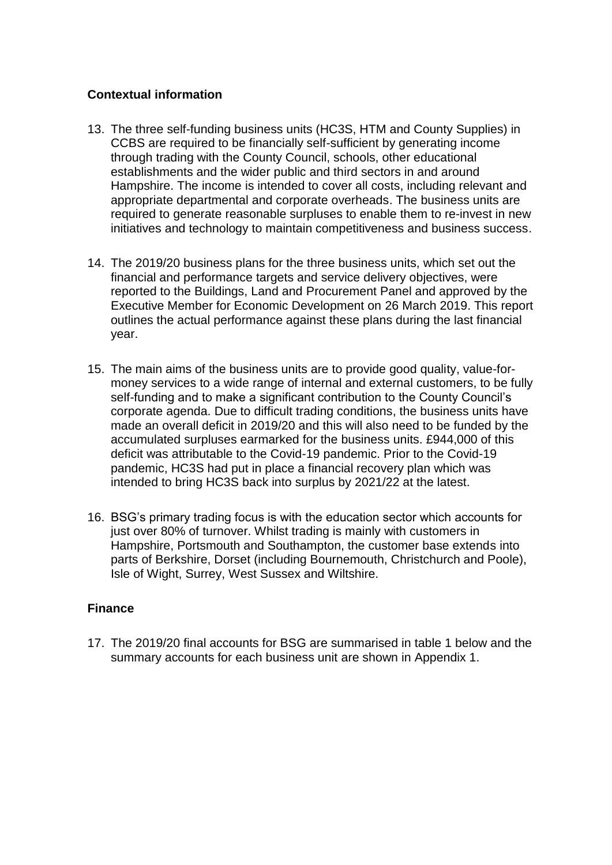## **Contextual information**

- 13. The three self-funding business units (HC3S, HTM and County Supplies) in CCBS are required to be financially self-sufficient by generating income through trading with the County Council, schools, other educational establishments and the wider public and third sectors in and around Hampshire. The income is intended to cover all costs, including relevant and appropriate departmental and corporate overheads. The business units are required to generate reasonable surpluses to enable them to re-invest in new initiatives and technology to maintain competitiveness and business success.
- 14. The 2019/20 business plans for the three business units, which set out the financial and performance targets and service delivery objectives, were reported to the Buildings, Land and Procurement Panel and approved by the Executive Member for Economic Development on 26 March 2019. This report outlines the actual performance against these plans during the last financial year.
- 15. The main aims of the business units are to provide good quality, value-formoney services to a wide range of internal and external customers, to be fully self-funding and to make a significant contribution to the County Council's corporate agenda. Due to difficult trading conditions, the business units have made an overall deficit in 2019/20 and this will also need to be funded by the accumulated surpluses earmarked for the business units. £944,000 of this deficit was attributable to the Covid-19 pandemic. Prior to the Covid-19 pandemic, HC3S had put in place a financial recovery plan which was intended to bring HC3S back into surplus by 2021/22 at the latest.
- 16. BSG's primary trading focus is with the education sector which accounts for just over 80% of turnover. Whilst trading is mainly with customers in Hampshire, Portsmouth and Southampton, the customer base extends into parts of Berkshire, Dorset (including Bournemouth, Christchurch and Poole), Isle of Wight, Surrey, West Sussex and Wiltshire.

# **Finance**

17. The 2019/20 final accounts for BSG are summarised in table 1 below and the summary accounts for each business unit are shown in Appendix 1.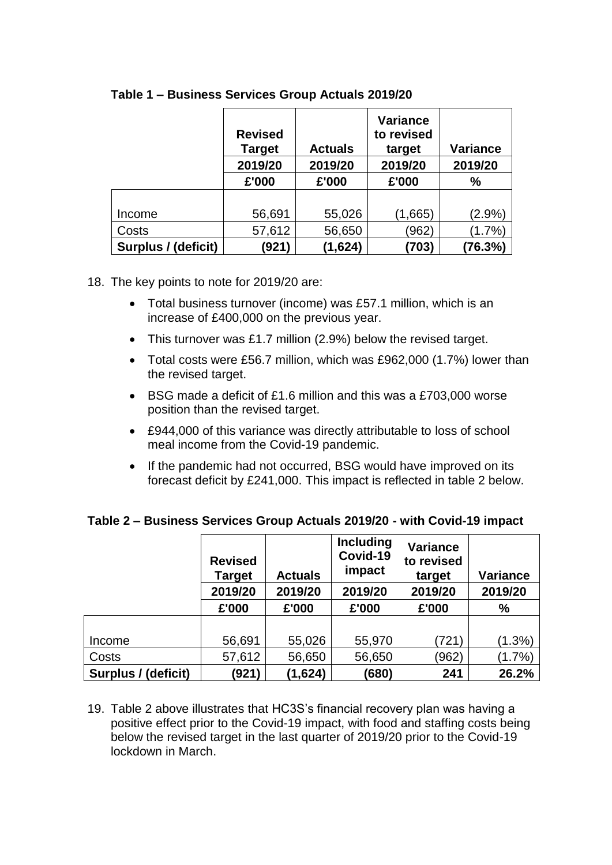|                     | <b>Revised</b><br><b>Target</b> | <b>Actuals</b> | <b>Variance</b><br>to revised<br>target | <b>Variance</b> |
|---------------------|---------------------------------|----------------|-----------------------------------------|-----------------|
|                     | 2019/20                         | 2019/20        | 2019/20                                 | 2019/20         |
|                     | £'000                           | £'000          | £'000                                   | $\frac{0}{0}$   |
|                     |                                 |                |                                         |                 |
| Income              | 56,691                          | 55,026         | (1,665)                                 | $(2.9\%)$       |
| Costs               | 57,612                          | 56,650         | (962)                                   | (1.7%)          |
| Surplus / (deficit) | (921)                           | (1,624)        | (703)                                   | (76.3%)         |

### **Table 1 – Business Services Group Actuals 2019/20**

#### 18. The key points to note for 2019/20 are:

- Total business turnover (income) was £57.1 million, which is an increase of £400,000 on the previous year.
- This turnover was £1.7 million (2.9%) below the revised target.
- Total costs were £56.7 million, which was £962,000 (1.7%) lower than the revised target.
- BSG made a deficit of £1.6 million and this was a £703,000 worse position than the revised target.
- £944,000 of this variance was directly attributable to loss of school meal income from the Covid-19 pandemic.
- If the pandemic had not occurred, BSG would have improved on its forecast deficit by £241,000. This impact is reflected in table 2 below.

|                     | <b>Revised</b><br>Target | <b>Actuals</b> | <b>Including</b><br>Covid-19<br>impact | <b>Variance</b><br>to revised<br>target | <b>Variance</b> |
|---------------------|--------------------------|----------------|----------------------------------------|-----------------------------------------|-----------------|
|                     | 2019/20                  | 2019/20        | 2019/20                                | 2019/20                                 | 2019/20         |
|                     | £'000                    | £'000          | £'000                                  | £'000                                   | %               |
|                     |                          |                |                                        |                                         |                 |
| Income              | 56,691                   | 55,026         | 55,970                                 | (721)                                   | $(1.3\%)$       |
| Costs               | 57,612                   | 56,650         | 56,650                                 | (962)                                   | $(1.7\%)$       |
| Surplus / (deficit) | (921)                    | (1,624)        | (680)                                  | 241                                     | 26.2%           |

### **Table 2 – Business Services Group Actuals 2019/20 - with Covid-19 impact**

19. Table 2 above illustrates that HC3S's financial recovery plan was having a positive effect prior to the Covid-19 impact, with food and staffing costs being below the revised target in the last quarter of 2019/20 prior to the Covid-19 lockdown in March.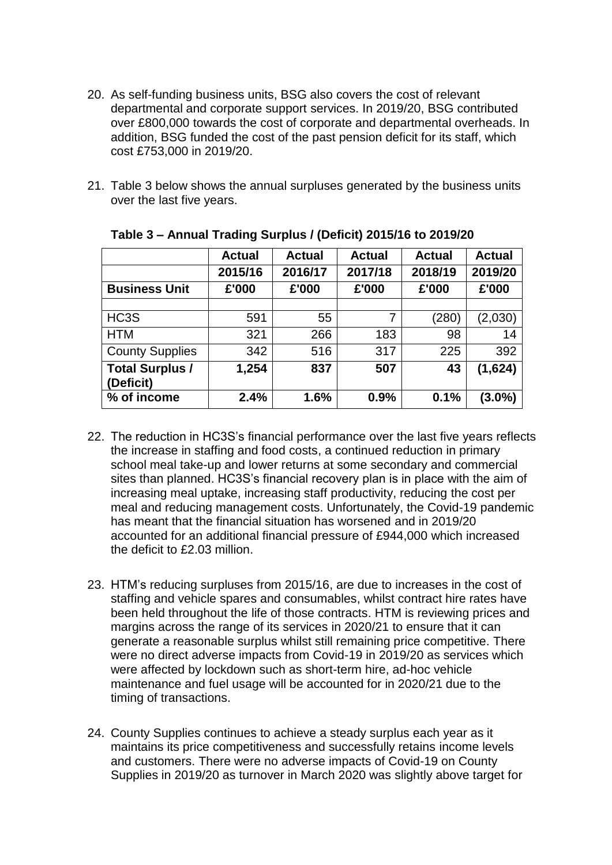- 20. As self-funding business units, BSG also covers the cost of relevant departmental and corporate support services. In 2019/20, BSG contributed over £800,000 towards the cost of corporate and departmental overheads. In addition, BSG funded the cost of the past pension deficit for its staff, which cost £753,000 in 2019/20.
- 21. Table 3 below shows the annual surpluses generated by the business units over the last five years.

|                                     | <b>Actual</b> | <b>Actual</b> | <b>Actual</b> | <b>Actual</b> | <b>Actual</b> |
|-------------------------------------|---------------|---------------|---------------|---------------|---------------|
|                                     | 2015/16       | 2016/17       | 2017/18       | 2018/19       | 2019/20       |
| <b>Business Unit</b>                | £'000         | £'000         | £'000         | £'000         | £'000         |
|                                     |               |               |               |               |               |
| HC <sub>3</sub> S                   | 591           | 55            | 7             | (280)         | (2,030)       |
| <b>HTM</b>                          | 321           | 266           | 183           | 98            | 14            |
| <b>County Supplies</b>              | 342           | 516           | 317           | 225           | 392           |
| <b>Total Surplus /</b><br>(Deficit) | 1,254         | 837           | 507           | 43            | (1,624)       |
| % of income                         | 2.4%          | 1.6%          | 0.9%          | 0.1%          | $(3.0\%)$     |

**Table 3 – Annual Trading Surplus / (Deficit) 2015/16 to 2019/20**

- 22. The reduction in HC3S's financial performance over the last five years reflects the increase in staffing and food costs, a continued reduction in primary school meal take-up and lower returns at some secondary and commercial sites than planned. HC3S's financial recovery plan is in place with the aim of increasing meal uptake, increasing staff productivity, reducing the cost per meal and reducing management costs. Unfortunately, the Covid-19 pandemic has meant that the financial situation has worsened and in 2019/20 accounted for an additional financial pressure of £944,000 which increased the deficit to £2.03 million.
- 23. HTM's reducing surpluses from 2015/16, are due to increases in the cost of staffing and vehicle spares and consumables, whilst contract hire rates have been held throughout the life of those contracts. HTM is reviewing prices and margins across the range of its services in 2020/21 to ensure that it can generate a reasonable surplus whilst still remaining price competitive. There were no direct adverse impacts from Covid-19 in 2019/20 as services which were affected by lockdown such as short-term hire, ad-hoc vehicle maintenance and fuel usage will be accounted for in 2020/21 due to the timing of transactions.
- 24. County Supplies continues to achieve a steady surplus each year as it maintains its price competitiveness and successfully retains income levels and customers. There were no adverse impacts of Covid-19 on County Supplies in 2019/20 as turnover in March 2020 was slightly above target for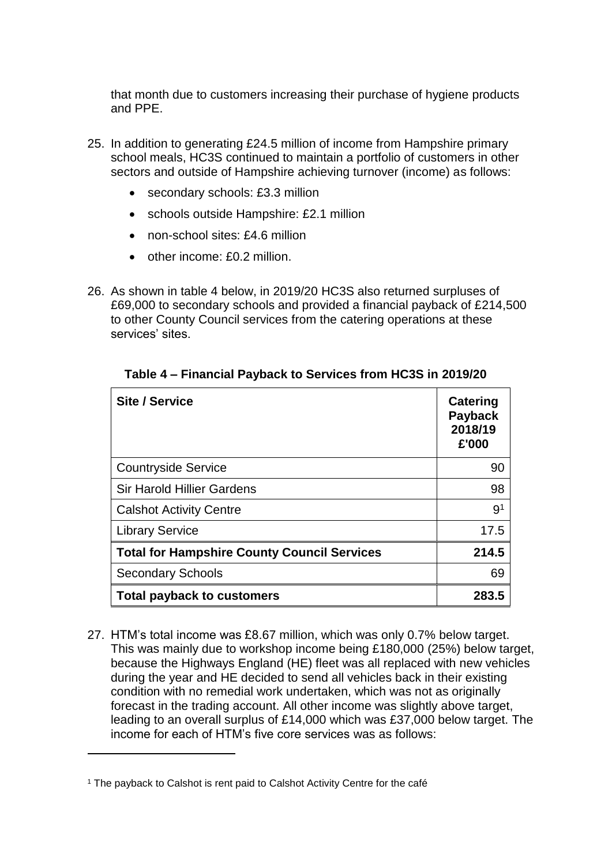that month due to customers increasing their purchase of hygiene products and PPE.

- 25. In addition to generating £24.5 million of income from Hampshire primary school meals, HC3S continued to maintain a portfolio of customers in other sectors and outside of Hampshire achieving turnover (income) as follows:
	- secondary schools: £3.3 million
	- schools outside Hampshire: £2.1 million
	- non-school sites: £4.6 million
	- other income: £0.2 million.
- 26. As shown in table 4 below, in 2019/20 HC3S also returned surpluses of £69,000 to secondary schools and provided a financial payback of £214,500 to other County Council services from the catering operations at these services' sites.

| Site / Service                                     | <b>Catering</b><br><b>Payback</b><br>2018/19<br>£'000 |
|----------------------------------------------------|-------------------------------------------------------|
| <b>Countryside Service</b>                         | 90                                                    |
| <b>Sir Harold Hillier Gardens</b>                  | 98                                                    |
| <b>Calshot Activity Centre</b>                     | 9 <sup>1</sup>                                        |
| <b>Library Service</b>                             | 17.5                                                  |
| <b>Total for Hampshire County Council Services</b> | 214.5                                                 |
| <b>Secondary Schools</b>                           | 69                                                    |
| <b>Total payback to customers</b>                  | 283.5                                                 |

**Table 4 – Financial Payback to Services from HC3S in 2019/20**

27. HTM's total income was £8.67 million, which was only 0.7% below target. This was mainly due to workshop income being £180,000 (25%) below target, because the Highways England (HE) fleet was all replaced with new vehicles during the year and HE decided to send all vehicles back in their existing condition with no remedial work undertaken, which was not as originally forecast in the trading account. All other income was slightly above target, leading to an overall surplus of £14,000 which was £37,000 below target. The income for each of HTM's five core services was as follows:

<u>.</u>

<sup>&</sup>lt;sup>1</sup> The payback to Calshot is rent paid to Calshot Activity Centre for the café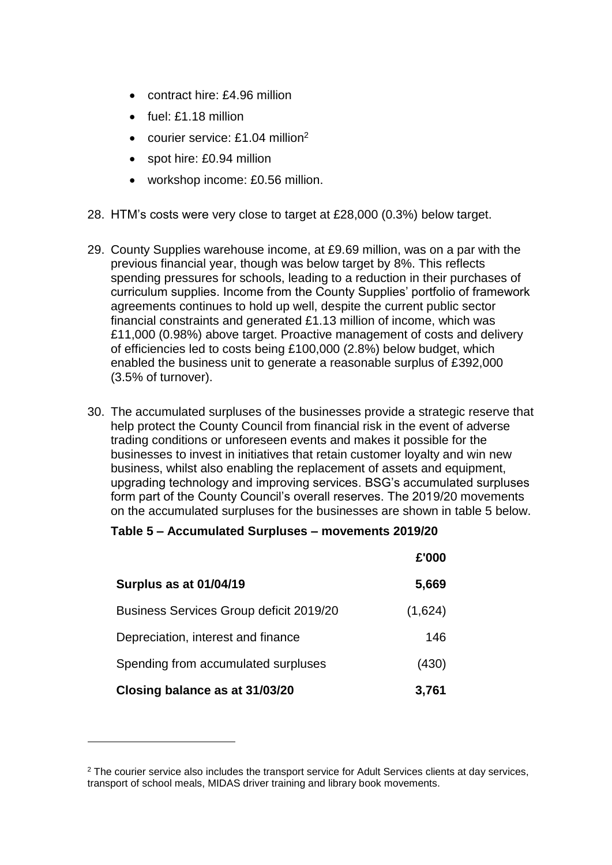- contract hire: £4.96 million
- fuel: £1.18 million
- courier service:  $£1.04$  million<sup>2</sup>
- spot hire: £0.94 million
- workshop income: £0.56 million.
- 28. HTM's costs were very close to target at £28,000 (0.3%) below target.
- 29. County Supplies warehouse income, at £9.69 million, was on a par with the previous financial year, though was below target by 8%. This reflects spending pressures for schools, leading to a reduction in their purchases of curriculum supplies. Income from the County Supplies' portfolio of framework agreements continues to hold up well, despite the current public sector financial constraints and generated £1.13 million of income, which was £11,000 (0.98%) above target. Proactive management of costs and delivery of efficiencies led to costs being £100,000 (2.8%) below budget, which enabled the business unit to generate a reasonable surplus of £392,000 (3.5% of turnover).
- 30. The accumulated surpluses of the businesses provide a strategic reserve that help protect the County Council from financial risk in the event of adverse trading conditions or unforeseen events and makes it possible for the businesses to invest in initiatives that retain customer loyalty and win new business, whilst also enabling the replacement of assets and equipment, upgrading technology and improving services. BSG's accumulated surpluses form part of the County Council's overall reserves. The 2019/20 movements on the accumulated surpluses for the businesses are shown in table 5 below.

### **Table 5 – Accumulated Surpluses – movements 2019/20**

|                                                | £'000   |
|------------------------------------------------|---------|
| Surplus as at 01/04/19                         | 5,669   |
| <b>Business Services Group deficit 2019/20</b> | (1,624) |
| Depreciation, interest and finance             | 146     |
| Spending from accumulated surpluses            | (430)   |
| Closing balance as at 31/03/20                 | 3,761   |

<u>.</u>

<sup>&</sup>lt;sup>2</sup> The courier service also includes the transport service for Adult Services clients at day services, transport of school meals, MIDAS driver training and library book movements.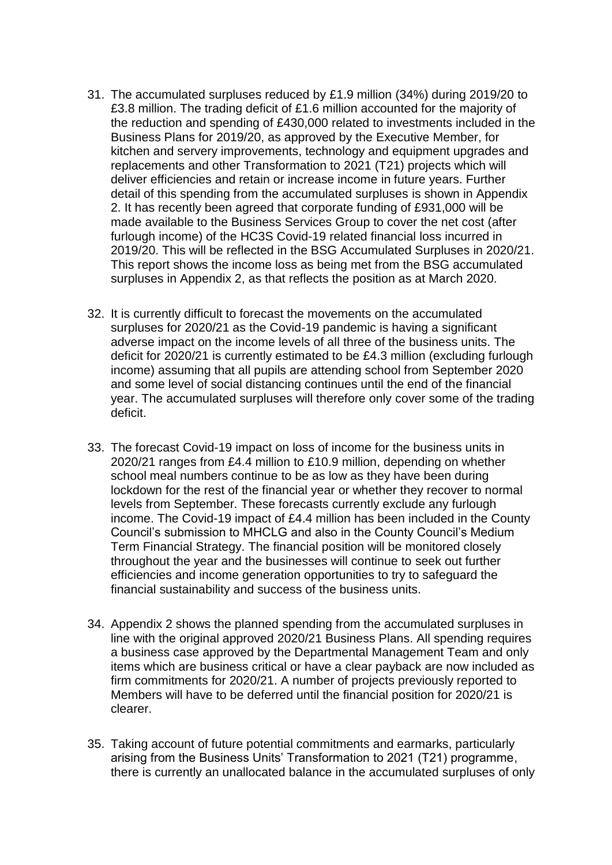- 31. The accumulated surpluses reduced by £1.9 million (34%) during 2019/20 to £3.8 million. The trading deficit of £1.6 million accounted for the majority of the reduction and spending of £430,000 related to investments included in the Business Plans for 2019/20, as approved by the Executive Member, for kitchen and servery improvements, technology and equipment upgrades and replacements and other Transformation to 2021 (T21) projects which will deliver efficiencies and retain or increase income in future years. Further detail of this spending from the accumulated surpluses is shown in Appendix 2. It has recently been agreed that corporate funding of £931,000 will be made available to the Business Services Group to cover the net cost (after furlough income) of the HC3S Covid-19 related financial loss incurred in 2019/20. This will be reflected in the BSG Accumulated Surpluses in 2020/21. This report shows the income loss as being met from the BSG accumulated surpluses in Appendix 2, as that reflects the position as at March 2020.
- 32. It is currently difficult to forecast the movements on the accumulated surpluses for 2020/21 as the Covid-19 pandemic is having a significant adverse impact on the income levels of all three of the business units. The deficit for 2020/21 is currently estimated to be £4.3 million (excluding furlough income) assuming that all pupils are attending school from September 2020 and some level of social distancing continues until the end of the financial year. The accumulated surpluses will therefore only cover some of the trading deficit.
- 33. The forecast Covid-19 impact on loss of income for the business units in 2020/21 ranges from £4.4 million to £10.9 million, depending on whether school meal numbers continue to be as low as they have been during lockdown for the rest of the financial year or whether they recover to normal levels from September. These forecasts currently exclude any furlough income. The Covid-19 impact of £4.4 million has been included in the County Council's submission to MHCLG and also in the County Council's Medium Term Financial Strategy. The financial position will be monitored closely throughout the year and the businesses will continue to seek out further efficiencies and income generation opportunities to try to safeguard the financial sustainability and success of the business units.
- 34. Appendix 2 shows the planned spending from the accumulated surpluses in line with the original approved 2020/21 Business Plans. All spending requires a business case approved by the Departmental Management Team and only items which are business critical or have a clear payback are now included as firm commitments for 2020/21. A number of projects previously reported to Members will have to be deferred until the financial position for 2020/21 is clearer.
- 35. Taking account of future potential commitments and earmarks, particularly arising from the Business Units' Transformation to 2021 (T21) programme, there is currently an unallocated balance in the accumulated surpluses of only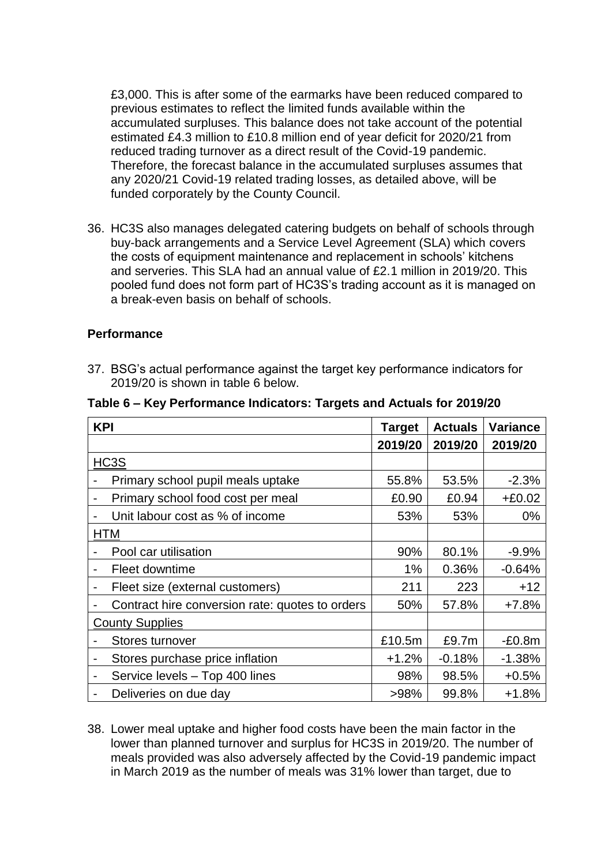£3,000. This is after some of the earmarks have been reduced compared to previous estimates to reflect the limited funds available within the accumulated surpluses. This balance does not take account of the potential estimated £4.3 million to £10.8 million end of year deficit for 2020/21 from reduced trading turnover as a direct result of the Covid-19 pandemic. Therefore, the forecast balance in the accumulated surpluses assumes that any 2020/21 Covid-19 related trading losses, as detailed above, will be funded corporately by the County Council.

36. HC3S also manages delegated catering budgets on behalf of schools through buy-back arrangements and a Service Level Agreement (SLA) which covers the costs of equipment maintenance and replacement in schools' kitchens and serveries. This SLA had an annual value of £2.1 million in 2019/20. This pooled fund does not form part of HC3S's trading account as it is managed on a break-even basis on behalf of schools.

#### **Performance**

37. BSG's actual performance against the target key performance indicators for 2019/20 is shown in table 6 below.

| <b>KPI</b>                                                 | <b>Target</b> | <b>Actuals</b> | <b>Variance</b> |          |
|------------------------------------------------------------|---------------|----------------|-----------------|----------|
|                                                            |               | 2019/20        | 2019/20         | 2019/20  |
| HC3S                                                       |               |                |                 |          |
| Primary school pupil meals uptake                          |               | 55.8%          | 53.5%           | $-2.3%$  |
| Primary school food cost per meal                          |               | £0.90          | £0.94           | $+£0.02$ |
| Unit labour cost as % of income<br>$\blacksquare$          |               | 53%            | 53%             | $0\%$    |
| <b>HTM</b>                                                 |               |                |                 |          |
| Pool car utilisation                                       |               | 90%            | 80.1%           | $-9.9%$  |
| Fleet downtime<br>$\blacksquare$                           |               | $1\%$          | 0.36%           | $-0.64%$ |
| Fleet size (external customers)                            |               | 211            | 223             | $+12$    |
| Contract hire conversion rate: quotes to orders            |               | 50%            | 57.8%           | $+7.8%$  |
| <b>County Supplies</b>                                     |               |                |                 |          |
| Stores turnover                                            |               | £10.5m         | £9.7m           | $-E0.8m$ |
| Stores purchase price inflation                            |               | +1.2%          | $-0.18%$        | $-1.38%$ |
| Service levels - Top 400 lines<br>$\overline{\phantom{a}}$ |               | 98%            | 98.5%           | $+0.5%$  |
| Deliveries on due day                                      |               | >98%           | 99.8%           | $+1.8%$  |

38. Lower meal uptake and higher food costs have been the main factor in the lower than planned turnover and surplus for HC3S in 2019/20. The number of meals provided was also adversely affected by the Covid-19 pandemic impact in March 2019 as the number of meals was 31% lower than target, due to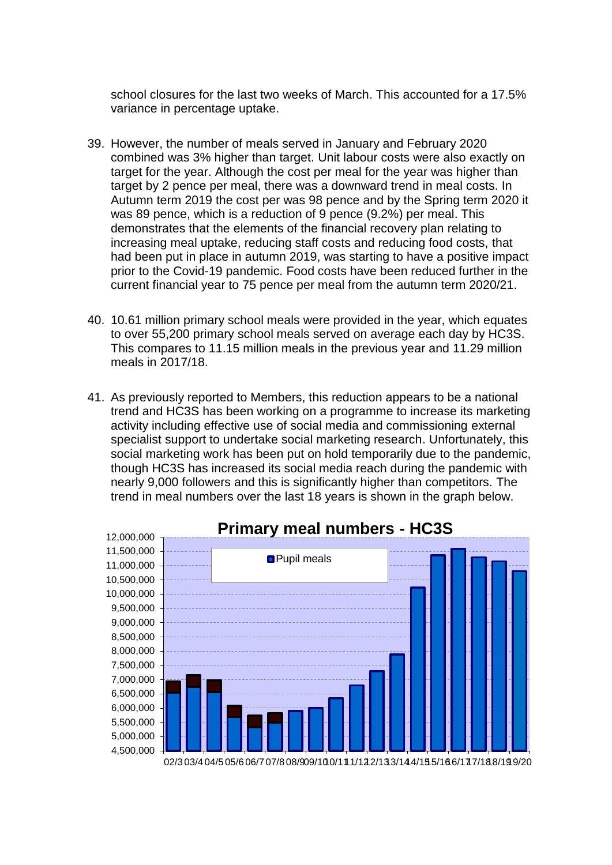school closures for the last two weeks of March. This accounted for a 17.5% variance in percentage uptake.

- 39. However, the number of meals served in January and February 2020 combined was 3% higher than target. Unit labour costs were also exactly on target for the year. Although the cost per meal for the year was higher than target by 2 pence per meal, there was a downward trend in meal costs. In Autumn term 2019 the cost per was 98 pence and by the Spring term 2020 it was 89 pence, which is a reduction of 9 pence (9.2%) per meal. This demonstrates that the elements of the financial recovery plan relating to increasing meal uptake, reducing staff costs and reducing food costs, that had been put in place in autumn 2019, was starting to have a positive impact prior to the Covid-19 pandemic. Food costs have been reduced further in the current financial year to 75 pence per meal from the autumn term 2020/21.
- 40. 10.61 million primary school meals were provided in the year, which equates to over 55,200 primary school meals served on average each day by HC3S. This compares to 11.15 million meals in the previous year and 11.29 million meals in 2017/18.
- 41. As previously reported to Members, this reduction appears to be a national trend and HC3S has been working on a programme to increase its marketing activity including effective use of social media and commissioning external specialist support to undertake social marketing research. Unfortunately, this social marketing work has been put on hold temporarily due to the pandemic, though HC3S has increased its social media reach during the pandemic with nearly 9,000 followers and this is significantly higher than competitors. The trend in meal numbers over the last 18 years is shown in the graph below.

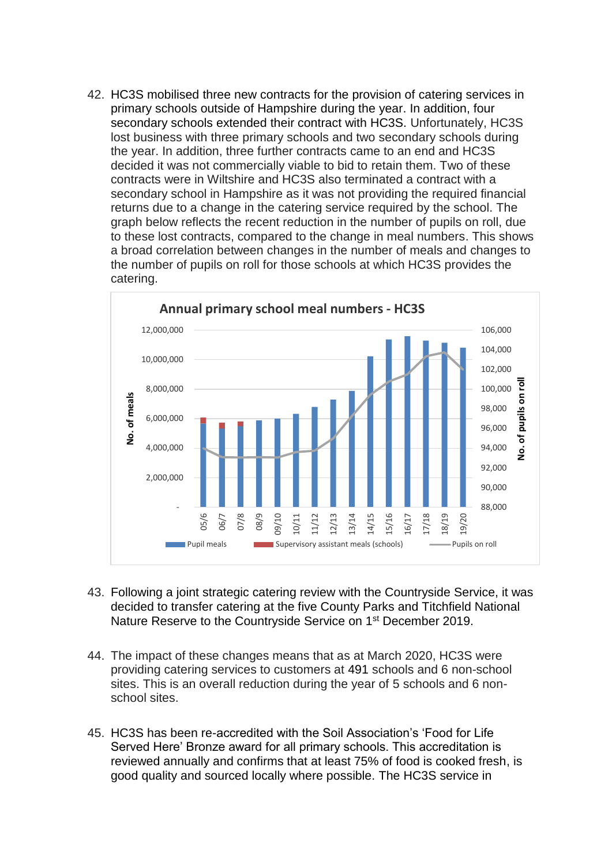42. HC3S mobilised three new contracts for the provision of catering services in primary schools outside of Hampshire during the year. In addition, four secondary schools extended their contract with HC3S. Unfortunately, HC3S lost business with three primary schools and two secondary schools during the year. In addition, three further contracts came to an end and HC3S decided it was not commercially viable to bid to retain them. Two of these contracts were in Wiltshire and HC3S also terminated a contract with a secondary school in Hampshire as it was not providing the required financial returns due to a change in the catering service required by the school. The graph below reflects the recent reduction in the number of pupils on roll, due to these lost contracts, compared to the change in meal numbers. This shows a broad correlation between changes in the number of meals and changes to the number of pupils on roll for those schools at which HC3S provides the catering.



- 43. Following a joint strategic catering review with the Countryside Service, it was decided to transfer catering at the five County Parks and Titchfield National Nature Reserve to the Countryside Service on 1st December 2019.
- 44. The impact of these changes means that as at March 2020, HC3S were providing catering services to customers at 491 schools and 6 non-school sites. This is an overall reduction during the year of 5 schools and 6 nonschool sites.
- 45. HC3S has been re-accredited with the Soil Association's 'Food for Life Served Here' Bronze award for all primary schools. This accreditation is reviewed annually and confirms that at least 75% of food is cooked fresh, is good quality and sourced locally where possible. The HC3S service in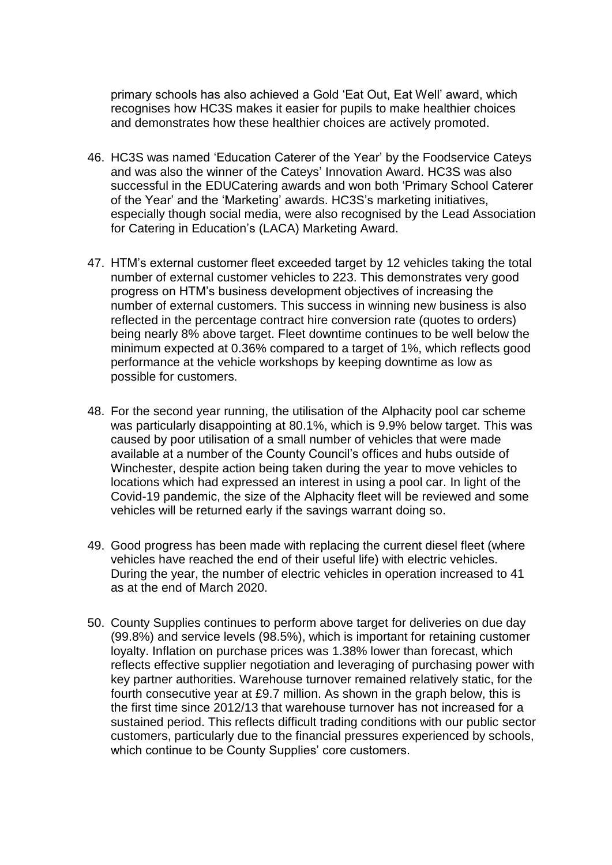primary schools has also achieved a Gold 'Eat Out, Eat Well' award, which recognises how HC3S makes it easier for pupils to make healthier choices and demonstrates how these healthier choices are actively promoted.

- 46. HC3S was named 'Education Caterer of the Year' by the Foodservice Cateys and was also the winner of the Cateys' Innovation Award. HC3S was also successful in the EDUCatering awards and won both 'Primary School Caterer of the Year' and the 'Marketing' awards. HC3S's marketing initiatives, especially though social media, were also recognised by the Lead Association for Catering in Education's (LACA) Marketing Award.
- 47. HTM's external customer fleet exceeded target by 12 vehicles taking the total number of external customer vehicles to 223. This demonstrates very good progress on HTM's business development objectives of increasing the number of external customers. This success in winning new business is also reflected in the percentage contract hire conversion rate (quotes to orders) being nearly 8% above target. Fleet downtime continues to be well below the minimum expected at 0.36% compared to a target of 1%, which reflects good performance at the vehicle workshops by keeping downtime as low as possible for customers.
- 48. For the second year running, the utilisation of the Alphacity pool car scheme was particularly disappointing at 80.1%, which is 9.9% below target. This was caused by poor utilisation of a small number of vehicles that were made available at a number of the County Council's offices and hubs outside of Winchester, despite action being taken during the year to move vehicles to locations which had expressed an interest in using a pool car. In light of the Covid-19 pandemic, the size of the Alphacity fleet will be reviewed and some vehicles will be returned early if the savings warrant doing so.
- 49. Good progress has been made with replacing the current diesel fleet (where vehicles have reached the end of their useful life) with electric vehicles. During the year, the number of electric vehicles in operation increased to 41 as at the end of March 2020.
- 50. County Supplies continues to perform above target for deliveries on due day (99.8%) and service levels (98.5%), which is important for retaining customer loyalty. Inflation on purchase prices was 1.38% lower than forecast, which reflects effective supplier negotiation and leveraging of purchasing power with key partner authorities. Warehouse turnover remained relatively static, for the fourth consecutive year at £9.7 million. As shown in the graph below, this is the first time since 2012/13 that warehouse turnover has not increased for a sustained period. This reflects difficult trading conditions with our public sector customers, particularly due to the financial pressures experienced by schools, which continue to be County Supplies' core customers.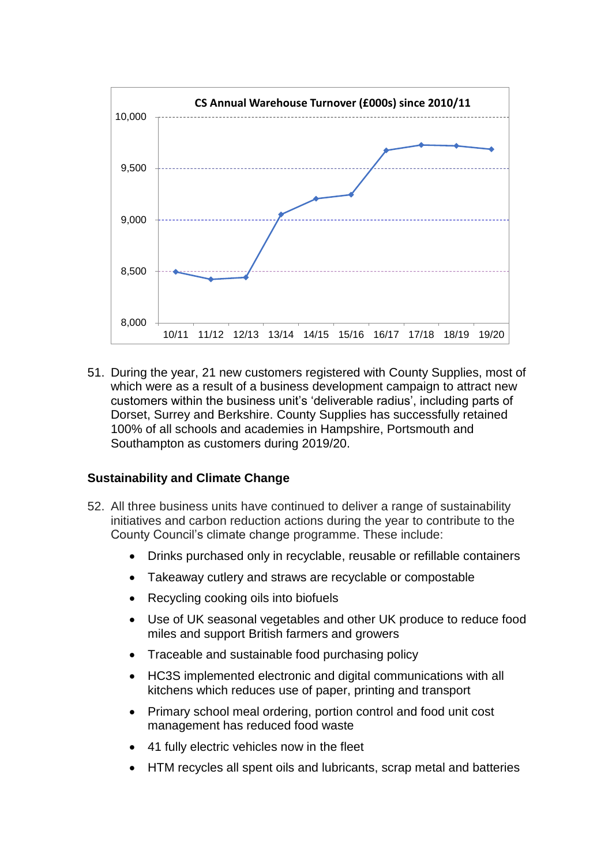

51. During the year, 21 new customers registered with County Supplies, most of which were as a result of a business development campaign to attract new customers within the business unit's 'deliverable radius', including parts of Dorset, Surrey and Berkshire. County Supplies has successfully retained 100% of all schools and academies in Hampshire, Portsmouth and Southampton as customers during 2019/20.

### **Sustainability and Climate Change**

- 52. All three business units have continued to deliver a range of sustainability initiatives and carbon reduction actions during the year to contribute to the County Council's climate change programme. These include:
	- Drinks purchased only in recyclable, reusable or refillable containers
	- Takeaway cutlery and straws are recyclable or compostable
	- Recycling cooking oils into biofuels
	- Use of UK seasonal vegetables and other UK produce to reduce food miles and support British farmers and growers
	- Traceable and sustainable food purchasing policy
	- HC3S implemented electronic and digital communications with all kitchens which reduces use of paper, printing and transport
	- Primary school meal ordering, portion control and food unit cost management has reduced food waste
	- 41 fully electric vehicles now in the fleet
	- HTM recycles all spent oils and lubricants, scrap metal and batteries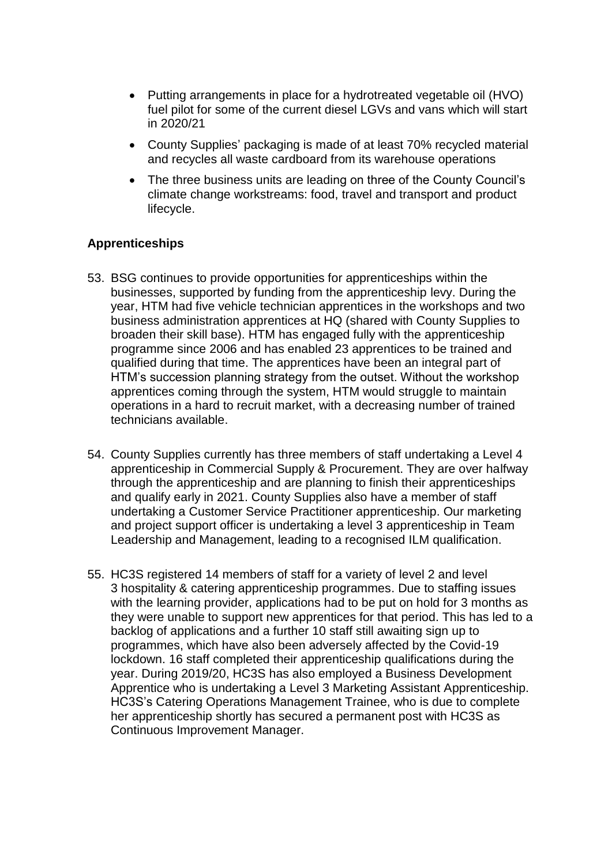- Putting arrangements in place for a hydrotreated vegetable oil (HVO) fuel pilot for some of the current diesel LGVs and vans which will start in 2020/21
- County Supplies' packaging is made of at least 70% recycled material and recycles all waste cardboard from its warehouse operations
- The three business units are leading on three of the County Council's climate change workstreams: food, travel and transport and product lifecycle.

## **Apprenticeships**

- 53. BSG continues to provide opportunities for apprenticeships within the businesses, supported by funding from the apprenticeship levy. During the year, HTM had five vehicle technician apprentices in the workshops and two business administration apprentices at HQ (shared with County Supplies to broaden their skill base). HTM has engaged fully with the apprenticeship programme since 2006 and has enabled 23 apprentices to be trained and qualified during that time. The apprentices have been an integral part of HTM's succession planning strategy from the outset. Without the workshop apprentices coming through the system. HTM would struggle to maintain operations in a hard to recruit market, with a decreasing number of trained technicians available.
- 54. County Supplies currently has three members of staff undertaking a Level 4 apprenticeship in Commercial Supply & Procurement. They are over halfway through the apprenticeship and are planning to finish their apprenticeships and qualify early in 2021. County Supplies also have a member of staff undertaking a Customer Service Practitioner apprenticeship. Our marketing and project support officer is undertaking a level 3 apprenticeship in Team Leadership and Management, leading to a recognised ILM qualification.
- 55. HC3S registered 14 members of staff for a variety of level 2 and level 3 hospitality & catering apprenticeship programmes. Due to staffing issues with the learning provider, applications had to be put on hold for 3 months as they were unable to support new apprentices for that period. This has led to a backlog of applications and a further 10 staff still awaiting sign up to programmes, which have also been adversely affected by the Covid-19 lockdown. 16 staff completed their apprenticeship qualifications during the year. During 2019/20, HC3S has also employed a Business Development Apprentice who is undertaking a Level 3 Marketing Assistant Apprenticeship. HC3S's Catering Operations Management Trainee, who is due to complete her apprenticeship shortly has secured a permanent post with HC3S as Continuous Improvement Manager.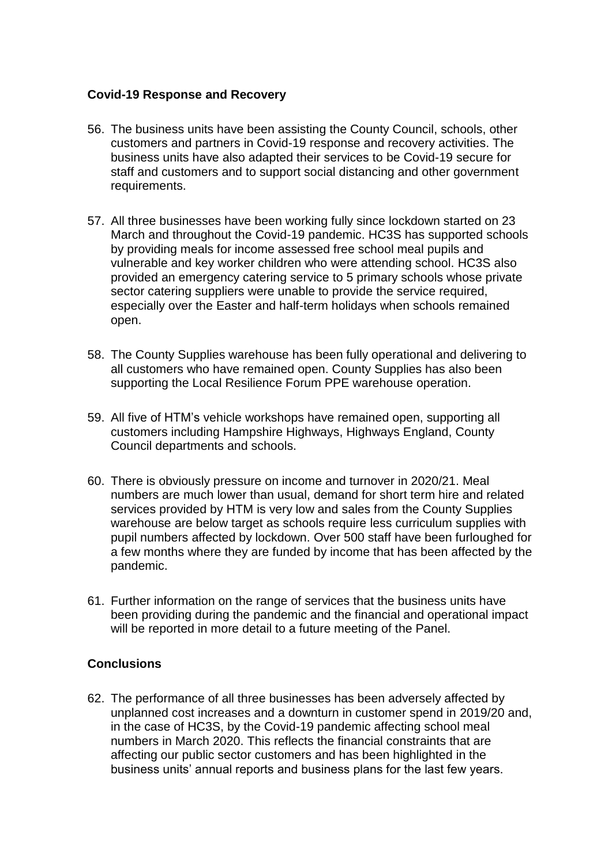## **Covid-19 Response and Recovery**

- 56. The business units have been assisting the County Council, schools, other customers and partners in Covid-19 response and recovery activities. The business units have also adapted their services to be Covid-19 secure for staff and customers and to support social distancing and other government requirements.
- 57. All three businesses have been working fully since lockdown started on 23 March and throughout the Covid-19 pandemic. HC3S has supported schools by providing meals for income assessed free school meal pupils and vulnerable and key worker children who were attending school. HC3S also provided an emergency catering service to 5 primary schools whose private sector catering suppliers were unable to provide the service required, especially over the Easter and half-term holidays when schools remained open.
- 58. The County Supplies warehouse has been fully operational and delivering to all customers who have remained open. County Supplies has also been supporting the Local Resilience Forum PPE warehouse operation.
- 59. All five of HTM's vehicle workshops have remained open, supporting all customers including Hampshire Highways, Highways England, County Council departments and schools.
- 60. There is obviously pressure on income and turnover in 2020/21. Meal numbers are much lower than usual, demand for short term hire and related services provided by HTM is very low and sales from the County Supplies warehouse are below target as schools require less curriculum supplies with pupil numbers affected by lockdown. Over 500 staff have been furloughed for a few months where they are funded by income that has been affected by the pandemic.
- 61. Further information on the range of services that the business units have been providing during the pandemic and the financial and operational impact will be reported in more detail to a future meeting of the Panel.

# **Conclusions**

62. The performance of all three businesses has been adversely affected by unplanned cost increases and a downturn in customer spend in 2019/20 and, in the case of HC3S, by the Covid-19 pandemic affecting school meal numbers in March 2020. This reflects the financial constraints that are affecting our public sector customers and has been highlighted in the business units' annual reports and business plans for the last few years.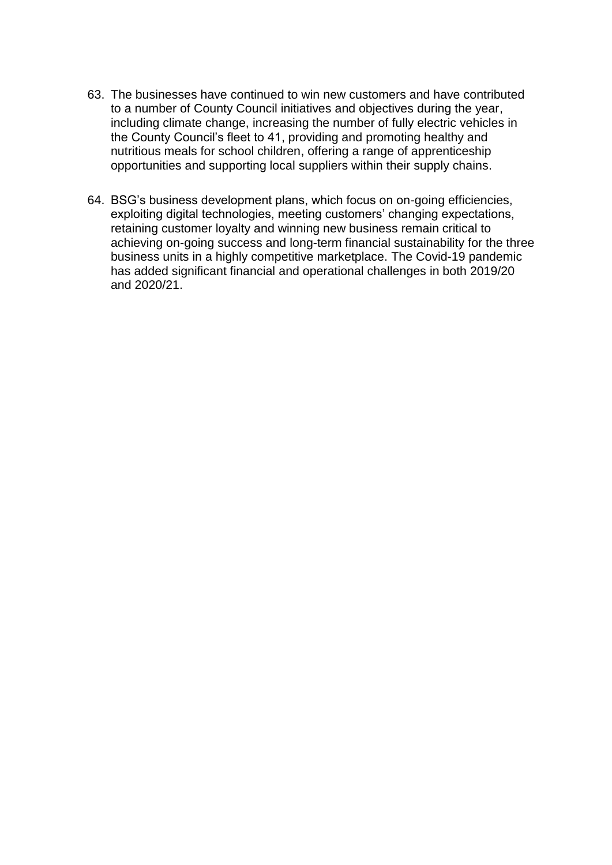- 63. The businesses have continued to win new customers and have contributed to a number of County Council initiatives and objectives during the year, including climate change, increasing the number of fully electric vehicles in the County Council's fleet to 41, providing and promoting healthy and nutritious meals for school children, offering a range of apprenticeship opportunities and supporting local suppliers within their supply chains.
- 64. BSG's business development plans, which focus on on-going efficiencies, exploiting digital technologies, meeting customers' changing expectations, retaining customer loyalty and winning new business remain critical to achieving on-going success and long-term financial sustainability for the three business units in a highly competitive marketplace. The Covid-19 pandemic has added significant financial and operational challenges in both 2019/20 and 2020/21.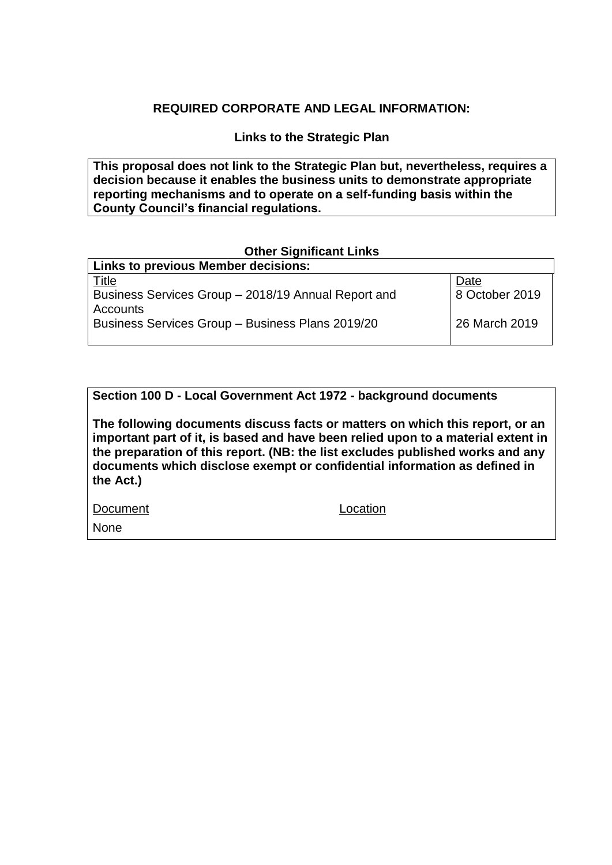## **REQUIRED CORPORATE AND LEGAL INFORMATION:**

**Links to the Strategic Plan**

**This proposal does not link to the Strategic Plan but, nevertheless, requires a decision because it enables the business units to demonstrate appropriate reporting mechanisms and to operate on a self-funding basis within the County Council's financial regulations.**

#### **Other Significant Links**

| <b>Links to previous Member decisions:</b>          |                |
|-----------------------------------------------------|----------------|
| <u>Title</u>                                        | Date           |
| Business Services Group - 2018/19 Annual Report and | 8 October 2019 |
| <b>Accounts</b>                                     |                |
| Business Services Group - Business Plans 2019/20    | 26 March 2019  |
|                                                     |                |

**Section 100 D - Local Government Act 1972 - background documents**

**The following documents discuss facts or matters on which this report, or an important part of it, is based and have been relied upon to a material extent in the preparation of this report. (NB: the list excludes published works and any documents which disclose exempt or confidential information as defined in the Act.)**

Document Location

None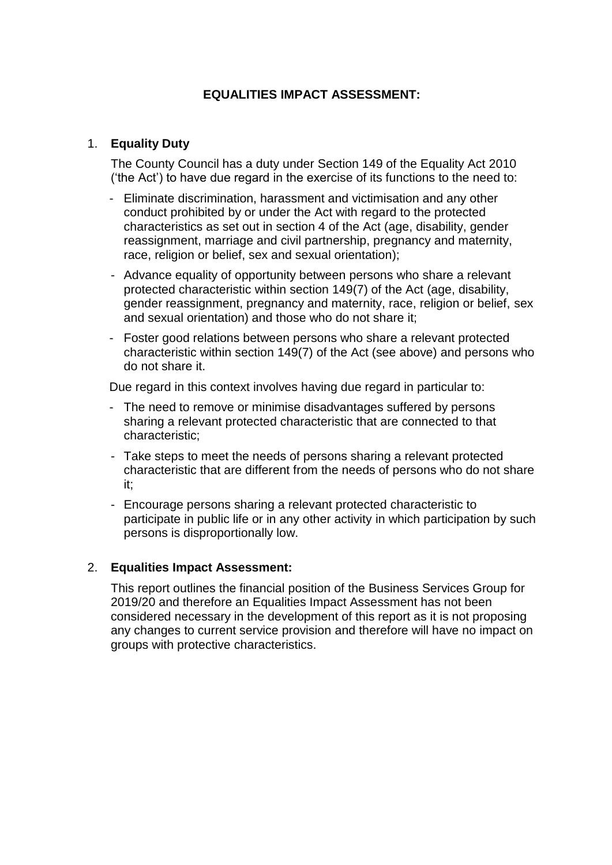# **EQUALITIES IMPACT ASSESSMENT:**

## 1. **Equality Duty**

The County Council has a duty under Section 149 of the Equality Act 2010 ('the Act') to have due regard in the exercise of its functions to the need to:

- Eliminate discrimination, harassment and victimisation and any other conduct prohibited by or under the Act with regard to the protected characteristics as set out in section 4 of the Act (age, disability, gender reassignment, marriage and civil partnership, pregnancy and maternity, race, religion or belief, sex and sexual orientation);
- Advance equality of opportunity between persons who share a relevant protected characteristic within section 149(7) of the Act (age, disability, gender reassignment, pregnancy and maternity, race, religion or belief, sex and sexual orientation) and those who do not share it;
- Foster good relations between persons who share a relevant protected characteristic within section 149(7) of the Act (see above) and persons who do not share it.

Due regard in this context involves having due regard in particular to:

- The need to remove or minimise disadvantages suffered by persons sharing a relevant protected characteristic that are connected to that characteristic;
- Take steps to meet the needs of persons sharing a relevant protected characteristic that are different from the needs of persons who do not share it;
- Encourage persons sharing a relevant protected characteristic to participate in public life or in any other activity in which participation by such persons is disproportionally low.

### 2. **Equalities Impact Assessment:**

This report outlines the financial position of the Business Services Group for 2019/20 and therefore an Equalities Impact Assessment has not been considered necessary in the development of this report as it is not proposing any changes to current service provision and therefore will have no impact on groups with protective characteristics.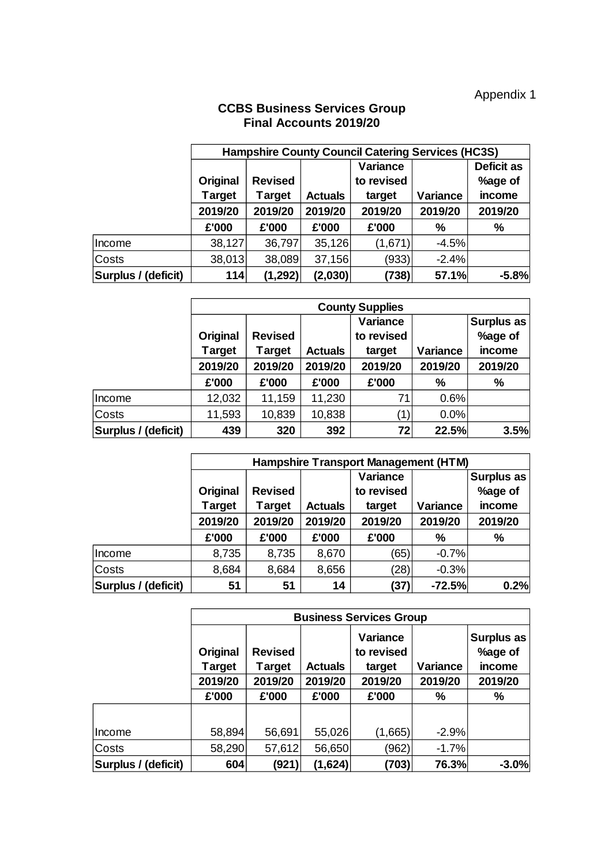### **CCBS Business Services Group Final Accounts 2019/20**

|                     | <b>Hampshire County Council Catering Services (HC3S)</b> |                |                |            |          |                   |  |
|---------------------|----------------------------------------------------------|----------------|----------------|------------|----------|-------------------|--|
|                     |                                                          |                |                | Variance   |          | <b>Deficit as</b> |  |
|                     | Original                                                 | <b>Revised</b> |                | to revised |          | %age of           |  |
|                     | <b>Target</b>                                            | <b>Target</b>  | <b>Actuals</b> | target     | Variance | income            |  |
|                     | 2019/20                                                  | 2019/20        | 2019/20        | 2019/20    | 2019/20  | 2019/20           |  |
|                     | £'000                                                    | £'000          | £'000          | £'000      | $\%$     | %                 |  |
| Income              | 38,127                                                   | 36,797         | 35,126         | (1,671)    | $-4.5%$  |                   |  |
| <b>Costs</b>        | 38,013                                                   | 38,089         | 37,156         | (933)      | $-2.4%$  |                   |  |
| Surplus / (deficit) | 114                                                      | (1, 292)       | (2,030)        | (738)      | 57.1%    | $-5.8%$           |  |

|                     | <b>County Supplies</b>        |                |                |            |          |         |
|---------------------|-------------------------------|----------------|----------------|------------|----------|---------|
|                     | Variance<br><b>Surplus as</b> |                |                |            |          |         |
|                     | Original                      | <b>Revised</b> |                | to revised |          | %age of |
|                     | <b>Target</b>                 | <b>Target</b>  | <b>Actuals</b> | target     | Variance | income  |
|                     | 2019/20                       | 2019/20        | 2019/20        | 2019/20    | 2019/20  | 2019/20 |
|                     | £'000                         | £'000          | £'000          | £'000      | %        | %       |
| Income              | 12,032                        | 11,159         | 11,230         | 71         | 0.6%     |         |
| Costs               | 11,593                        | 10,839         | 10,838         | (1)        | 0.0%     |         |
| Surplus / (deficit) | 439                           | 320            | 392            | 72         | 22.5%    | 3.5%    |

|                     | <b>Hampshire Transport Management (HTM)</b> |                          |                |                                  |          |                                        |  |
|---------------------|---------------------------------------------|--------------------------|----------------|----------------------------------|----------|----------------------------------------|--|
|                     | Original<br><b>Target</b>                   | <b>Revised</b><br>Target | <b>Actuals</b> | Variance<br>to revised<br>target | Variance | <b>Surplus as</b><br>%age of<br>income |  |
|                     | 2019/20                                     | 2019/20                  | 2019/20        | 2019/20                          | 2019/20  | 2019/20                                |  |
|                     | £'000                                       | £'000                    | £'000          | £'000                            | %        | %                                      |  |
| Income              | 8,735                                       | 8,735                    | 8,670          | (65)                             | $-0.7%$  |                                        |  |
| Costs               | 8,684                                       | 8,684                    | 8,656          | (28)                             | $-0.3%$  |                                        |  |
| Surplus / (deficit) | 51                                          | 51                       | 14             | (37)                             | $-72.5%$ | 0.2%                                   |  |

|                     | <b>Business Services Group</b> |                          |                |                                  |          |                                 |  |
|---------------------|--------------------------------|--------------------------|----------------|----------------------------------|----------|---------------------------------|--|
|                     | Original<br>Target             | <b>Revised</b><br>Target | <b>Actuals</b> | Variance<br>to revised<br>target | Variance | Surplus as<br>%age of<br>income |  |
|                     | 2019/20                        | 2019/20                  | 2019/20        | 2019/20                          | 2019/20  | 2019/20                         |  |
|                     | £'000                          | £'000                    | £'000          | £'000                            | %        | %                               |  |
|                     |                                |                          |                |                                  |          |                                 |  |
| Income              | 58,894                         | 56,691                   | 55,026         | (1,665)                          | $-2.9%$  |                                 |  |
| Costs               | 58,290                         | 57,612                   | 56,650         | (962)                            | $-1.7%$  |                                 |  |
| Surplus / (deficit) | 604                            | (921)                    | (1,624)        | (703)                            | 76.3%    | $-3.0%$                         |  |